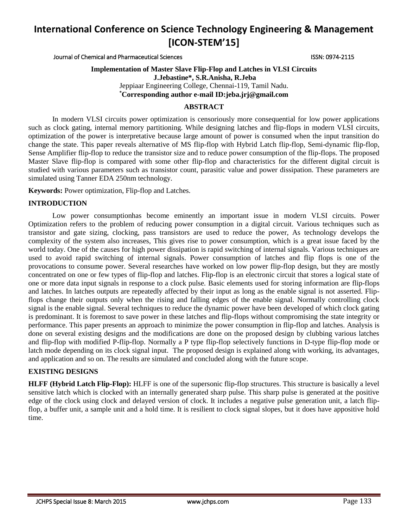Journal of Chemical and Pharmaceutical Sciences ISSN: 0974-2115

## **Implementation of Master Slave Flip-Flop and Latches in VLSI Circuits J.Jebastine\*, S.R.Anisha, R.Jeba**  Jeppiaar Engineering College, Chennai-119, Tamil Nadu. **\*Corresponding author e-mail ID:jeba.jrj@gmail.com**

## **ABSTRACT**

In modern VLSI circuits power optimization is censoriously more consequential for low power applications such as clock gating, internal memory partitioning. While designing latches and flip-flops in modern VLSI circuits, optimization of the power is interpretative because large amount of power is consumed when the input transition do change the state. This paper reveals alternative of MS flip-flop with Hybrid Latch flip-flop, Semi-dynamic flip-flop, Sense Amplifier flip-flop to reduce the transistor size and to reduce power consumption of the flip-flops. The proposed Master Slave flip-flop is compared with some other flip-flop and characteristics for the different digital circuit is studied with various parameters such as transistor count, parasitic value and power dissipation. These parameters are simulated using Tanner EDA 250nm technology.

**Keywords:** Power optimization, Flip-flop and Latches.

## **INTRODUCTION**

Low power consumptionhas become eminently an important issue in modern VLSI circuits. Power Optimization refers to the problem of reducing power consumption in a digital circuit. Various techniques such as transistor and gate sizing, clocking, pass transistors are used to reduce the power, As technology develops the complexity of the system also increases, This gives rise to power consumption, which is a great issue faced by the world today. One of the causes for high power dissipation is rapid switching of internal signals. Various techniques are used to avoid rapid switching of internal signals. Power consumption of latches and flip flops is one of the provocations to consume power. Several researches have worked on low power flip-flop design, but they are mostly concentrated on one or few types of flip-flop and latches. Flip-flop is an electronic circuit that stores a logical state of one or more data input signals in response to a clock pulse. Basic elements used for storing information are flip-flops and latches. In latches outputs are repeatedly affected by their input as long as the enable signal is not asserted. Flipflops change their outputs only when the rising and falling edges of the enable signal. Normally controlling clock signal is the enable signal. Several techniques to reduce the dynamic power have been developed of which clock gating is predominant. It is foremost to save power in these latches and flip-flops without compromising the state integrity or performance. This paper presents an approach to minimize the power consumption in flip-flop and latches. Analysis is done on several existing designs and the modifications are done on the proposed design by clubbing various latches and flip-flop with modified P-flip-flop. Normally a P type flip-flop selectively functions in D-type flip-flop mode or latch mode depending on its clock signal input. The proposed design is explained along with working, its advantages, and application and so on. The results are simulated and concluded along with the future scope.

## **EXISTING DESIGNS**

**HLFF (Hybrid Latch Flip-Flop):** HLFF is one of the supersonic flip-flop structures. This structure is basically a level sensitive latch which is clocked with an internally generated sharp pulse. This sharp pulse is generated at the positive edge of the clock using clock and delayed version of clock. It includes a negative pulse generation unit, a latch flipflop, a buffer unit, a sample unit and a hold time. It is resilient to clock signal slopes, but it does have appositive hold time.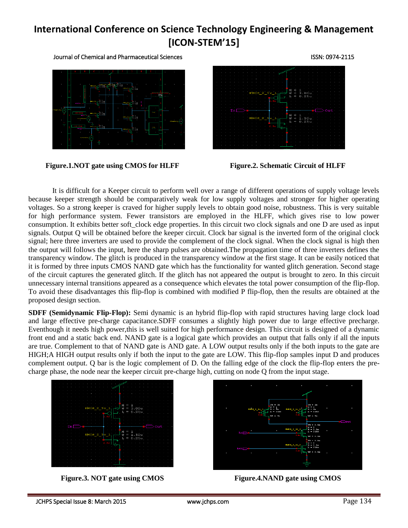Journal of Chemical and Pharmaceutical Sciences ISSN: 0974-2115



**Figure.1.NOT gate using CMOS for HLFF Figure.2. Schematic Circuit of HLFF**



It is difficult for a Keeper circuit to perform well over a range of different operations of supply voltage levels because keeper strength should be comparatively weak for low supply voltages and stronger for higher operating voltages. So a strong keeper is craved for higher supply levels to obtain good noise, robustness. This is very suitable for high performance system. Fewer transistors are employed in the HLFF, which gives rise to low power consumption. It exhibits better soft clock edge properties. In this circuit two clock signals and one D are used as input signals. Output Q will be obtained before the keeper circuit. Clock bar signal is the inverted form of the original clock signal; here three inverters are used to provide the complement of the clock signal. When the clock signal is high then the output will follows the input, here the sharp pulses are obtained.The propagation time of three inverters defines the transparency window. The glitch is produced in the transparency window at the first stage. It can be easily noticed that it is formed by three inputs CMOS NAND gate which has the functionality for wanted glitch generation. Second stage of the circuit captures the generated glitch. If the glitch has not appeared the output is brought to zero. In this circuit unnecessary internal transitions appeared as a consequence which elevates the total power consumption of the flip-flop. To avoid these disadvantages this flip-flop is combined with modified P flip-flop, then the results are obtained at the proposed design section.

**SDFF (Semidynamic Flip-Flop):** Semi dynamic is an hybrid flip-flop with rapid structures having large clock load and large effective pre-charge capacitance.SDFF consumes a slightly high power due to large effective precharge. Eventhough it needs high power,this is well suited for high performance design. This circuit is designed of a dynamic front end and a static back end. NAND gate is a logical gate which provides an output that falls only if all the inputs are true. Complement to that of NAND gate is AND gate. A LOW output results only if the both inputs to the gate are HIGH;A HIGH output results only if both the input to the gate are LOW. This flip-flop samples input D and produces complement output. Q bar is the logic complement of D. On the falling edge of the clock the flip-flop enters the precharge phase, the node near the keeper circuit pre-charge high, cutting on node Q from the input stage.





**Figure.3. NOT gate using CMOS Figure.4.NAND gate using CMOS**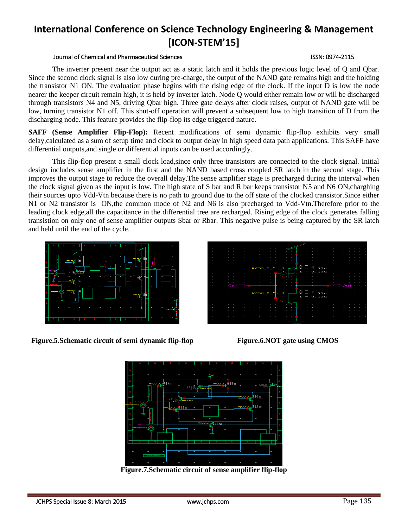#### Journal of Chemical and Pharmaceutical Sciences ISSN: 0974-2115

The inverter present near the output act as a static latch and it holds the previous logic level of Q and Qbar. Since the second clock signal is also low during pre-charge, the output of the NAND gate remains high and the holding the transistor N1 ON. The evaluation phase begins with the rising edge of the clock. If the input D is low the node nearer the keeper circuit remain high, it is held by inverter latch. Node Q would either remain low or will be discharged through transistors N4 and N5, driving Qbar high. Three gate delays after clock raises, output of NAND gate will be low, turning transistor N1 off. This shut-off operation will prevent a subsequent low to high transition of D from the discharging node. This feature provides the flip-flop its edge triggered nature.

**SAFF (Sense Amplifier Flip-Flop):** Recent modifications of semi dynamic flip-flop exhibits very small delay,calculated as a sum of setup time and clock to output delay in high speed data path applications. This SAFF have differential outputs,and single or differential inputs can be used accordingly.

This flip-flop present a small clock load,since only three transistors are connected to the clock signal. Initial design includes sense amplifier in the first and the NAND based cross coupled SR latch in the second stage. This improves the output stage to reduce the overall delay.The sense amplifier stage is precharged during the interval when the clock signal given as the input is low. The high state of S bar and R bar keeps transistor N5 and N6 ON,charghing their sources upto Vdd-Vtn because there is no path to ground due to the off state of the clocked transistor.Since either N1 or N2 transistor is ON, the common mode of N2 and N6 is also precharged to Vdd-Vtn. Therefore prior to the leading clock edge,all the capacitance in the differential tree are recharged. Rising edge of the clock generates falling transistion on only one of sense amplifier outputs Sbar or Rbar. This negative pulse is being captured by the SR latch and held until the end of the cycle.



**Figure.5.Schematic circuit of semi dynamic flip-flop Figure.6.NOT gate using CMOS**





**Figure.7.Schematic circuit of sense amplifier flip-flop**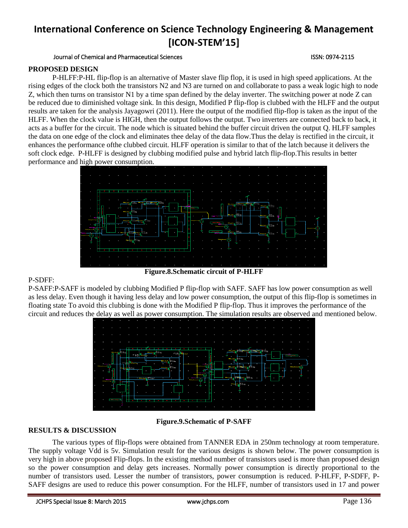Journal of Chemical and Pharmaceutical Sciences ISSN: 0974-2115

## **PROPOSED DESIGN**

P-HLFF:P-HL flip-flop is an alternative of Master slave flip flop, it is used in high speed applications. At the rising edges of the clock both the transistors N2 and N3 are turned on and collaborate to pass a weak logic high to node Z, which then turns on transistor N1 by a time span defined by the delay inverter. The switching power at node Z can be reduced due to diminished voltage sink. In this design, Modified P flip-flop is clubbed with the HLFF and the output results are taken for the analysis Jayagowri (2011). Here the output of the modified flip-flop is taken as the input of the HLFF. When the clock value is HIGH, then the output follows the output. Two inverters are connected back to back, it acts as a buffer for the circuit. The node which is situated behind the buffer circuit driven the output Q. HLFF samples the data on one edge of the clock and eliminates thee delay of the data flow.Thus the delay is rectified in the circuit, it enhances the performance ofthe clubbed circuit. HLFF operation is similar to that of the latch because it delivers the soft clock edge. P-HLFF is designed by clubbing modified pulse and hybrid latch flip-flop.This results in better performance and high power consumption.



## P-SDFF:

P-SAFF:P-SAFF is modeled by clubbing Modified P flip-flop with SAFF. SAFF has low power consumption as well as less delay. Even though it having less delay and low power consumption, the output of this flip-flop is sometimes in floating state To avoid this clubbing is done with the Modified P flip-flop. Thus it improves the performance of the circuit and reduces the delay as well as power consumption. The simulation results are observed and mentioned below.



## **RESULTS & DISCUSSION**

**Figure.9.Schematic of P-SAFF**

The various types of flip-flops were obtained from TANNER EDA in 250nm technology at room temperature. The supply voltage Vdd is 5v. Simulation result for the various designs is shown below. The power consumption is very high in above proposed Flip-flops. In the existing method number of transistors used is more than proposed design so the power consumption and delay gets increases. Normally power consumption is directly proportional to the number of transistors used. Lesser the number of transistors, power consumption is reduced. P-HLFF, P-SDFF, P-SAFF designs are used to reduce this power consumption. For the HLFF, number of transistors used in 17 and power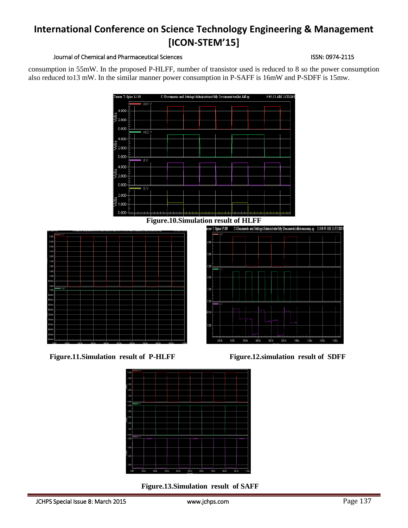#### Journal of Chemical and Pharmaceutical Sciences **ISSN: 0974-2115** ISSN: 0974-2115

consumption in 55mW. In the proposed P-HLFF, number of transistor used is reduced to 8 so the power consumption also reduced to13 mW. In the similar manner power consumption in P-SAFF is 16mW and P-SDFF is 15mw.



**Figure.11.Simulation result of P-HLFF Figure.12.simulation result of SDFF**



**Figure.13.Simulation result of SAFF**